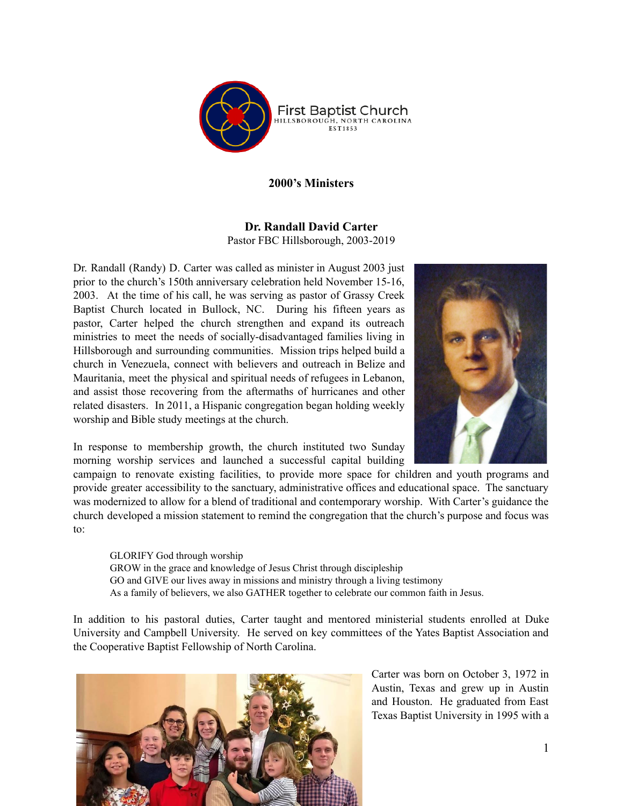

## **2000's Ministers**

## **Dr. Randall David Carter** Pastor FBC Hillsborough, 2003-2019

Dr. Randall (Randy) D. Carter was called as minister in August 2003 just prior to the church's 150th anniversary celebration held November 15-16, 2003. At the time of his call, he was serving as pastor of Grassy Creek Baptist Church located in Bullock, NC. During his fifteen years as pastor, Carter helped the church strengthen and expand its outreach ministries to meet the needs of socially-disadvantaged families living in Hillsborough and surrounding communities. Mission trips helped build a church in Venezuela, connect with believers and outreach in Belize and Mauritania, meet the physical and spiritual needs of refugees in Lebanon, and assist those recovering from the aftermaths of hurricanes and other related disasters. In 2011, a Hispanic congregation began holding weekly worship and Bible study meetings at the church.



campaign to renovate existing facilities, to provide more space for children and youth programs and provide greater accessibility to the sanctuary, administrative offices and educational space. The sanctuary was modernized to allow for a blend of traditional and contemporary worship. With Carter's guidance the church developed a mission statement to remind the congregation that the church's purpose and focus was to:

GLORIFY God through worship GROW in the grace and knowledge of Jesus Christ through discipleship GO and GIVE our lives away in missions and ministry through a living testimony As a family of believers, we also GATHER together to celebrate our common faith in Jesus.

In addition to his pastoral duties, Carter taught and mentored ministerial students enrolled at Duke University and Campbell University. He served on key committees of the Yates Baptist Association and the Cooperative Baptist Fellowship of North Carolina.



Carter was born on October 3, 1972 in Austin, Texas and grew up in Austin and Houston. He graduated from East Texas Baptist University in 1995 with a